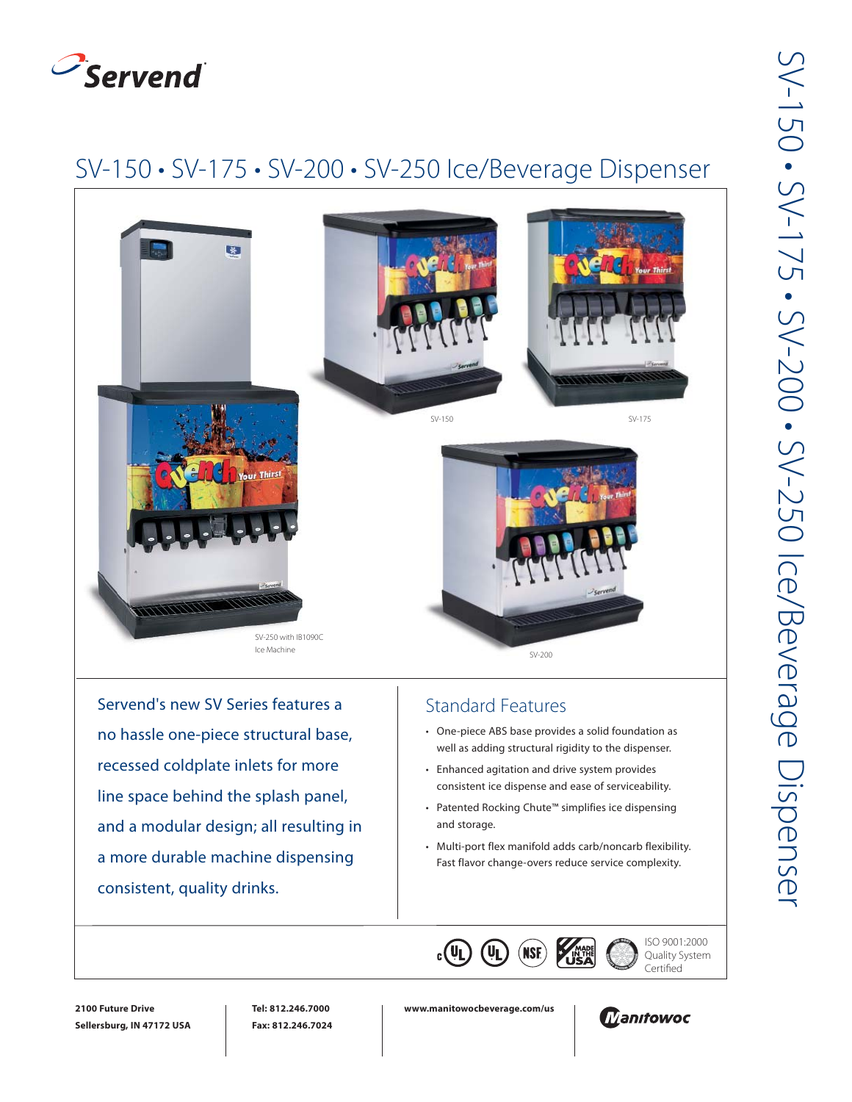

## SV-150 • SV-175 • SV-200 • SV-250 Ice/Beverage Dispenser



Servend's new SV Series features a no hassle one-piece structural base, recessed coldplate inlets for more line space behind the splash panel, and a modular design; all resulting in a more durable machine dispensing consistent, quality drinks.

## Standard Features

- One-piece ABS base provides a solid foundation as well as adding structural rigidity to the dispenser.
- Enhanced agitation and drive system provides consistent ice dispense and ease of serviceability.
- Patented Rocking Chute™ simplifies ice dispensing and storage.
- Multi-port flex manifold adds carb/noncarb flexibility. Fast flavor change-overs reduce service complexity.



ISO 9001:2000 Quality System Certified



**www.manitowocbeverage.com/us**